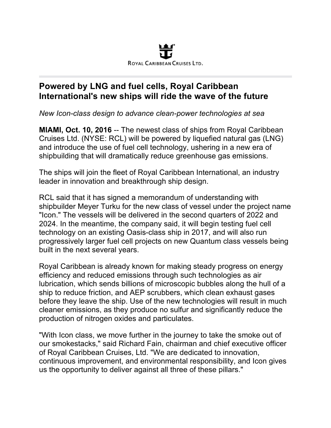

## **Powered by LNG and fuel cells, Royal Caribbean International's new ships will ride the wave of the future**

*New Icon-class design to advance clean-power technologies at sea*

**MIAMI, Oct. 10, 2016** -- The newest class of ships from Royal Caribbean Cruises Ltd. (NYSE: RCL) will be powered by liquefied natural gas (LNG) and introduce the use of fuel cell technology, ushering in a new era of shipbuilding that will dramatically reduce greenhouse gas emissions.

The ships will join the fleet of Royal Caribbean International, an industry leader in innovation and breakthrough ship design.

RCL said that it has signed a memorandum of understanding with shipbuilder Meyer Turku for the new class of vessel under the project name "Icon." The vessels will be delivered in the second quarters of 2022 and 2024. In the meantime, the company said, it will begin testing fuel cell technology on an existing Oasis-class ship in 2017, and will also run progressively larger fuel cell projects on new Quantum class vessels being built in the next several years.

Royal Caribbean is already known for making steady progress on energy efficiency and reduced emissions through such technologies as air lubrication, which sends billions of microscopic bubbles along the hull of a ship to reduce friction, and AEP scrubbers, which clean exhaust gases before they leave the ship. Use of the new technologies will result in much cleaner emissions, as they produce no sulfur and significantly reduce the production of nitrogen oxides and particulates.

"With Icon class, we move further in the journey to take the smoke out of our smokestacks," said Richard Fain, chairman and chief executive officer of Royal Caribbean Cruises, Ltd. "We are dedicated to innovation, continuous improvement, and environmental responsibility, and Icon gives us the opportunity to deliver against all three of these pillars."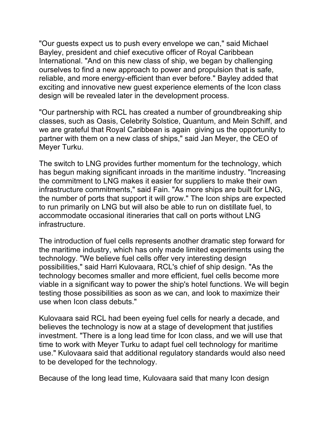"Our guests expect us to push every envelope we can," said Michael Bayley, president and chief executive officer of Royal Caribbean International. "And on this new class of ship, we began by challenging ourselves to find a new approach to power and propulsion that is safe, reliable, and more energy-efficient than ever before." Bayley added that exciting and innovative new guest experience elements of the Icon class design will be revealed later in the development process.

"Our partnership with RCL has created a number of groundbreaking ship classes, such as Oasis, Celebrity Solstice, Quantum, and Mein Schiff, and we are grateful that Royal Caribbean is again giving us the opportunity to partner with them on a new class of ships," said Jan Meyer, the CEO of Meyer Turku.

The switch to LNG provides further momentum for the technology, which has begun making significant inroads in the maritime industry. "Increasing the commitment to LNG makes it easier for suppliers to make their own infrastructure commitments," said Fain. "As more ships are built for LNG, the number of ports that support it will grow." The Icon ships are expected to run primarily on LNG but will also be able to run on distillate fuel, to accommodate occasional itineraries that call on ports without LNG infrastructure.

The introduction of fuel cells represents another dramatic step forward for the maritime industry, which has only made limited experiments using the technology. "We believe fuel cells offer very interesting design possibilities," said Harri Kulovaara, RCL's chief of ship design. "As the technology becomes smaller and more efficient, fuel cells become more viable in a significant way to power the ship's hotel functions. We will begin testing those possibilities as soon as we can, and look to maximize their use when Icon class debuts."

Kulovaara said RCL had been eyeing fuel cells for nearly a decade, and believes the technology is now at a stage of development that justifies investment. "There is a long lead time for Icon class, and we will use that time to work with Meyer Turku to adapt fuel cell technology for maritime use." Kulovaara said that additional regulatory standards would also need to be developed for the technology.

Because of the long lead time, Kulovaara said that many Icon design